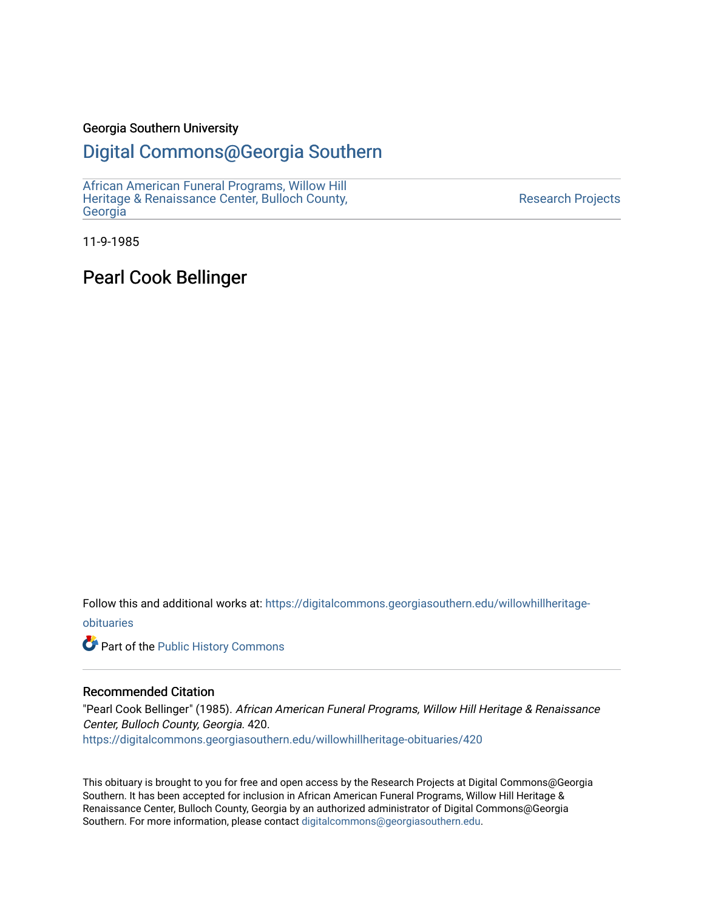### Georgia Southern University

## [Digital Commons@Georgia Southern](https://digitalcommons.georgiasouthern.edu/)

[African American Funeral Programs, Willow Hill](https://digitalcommons.georgiasouthern.edu/willowhillheritage-obituaries)  [Heritage & Renaissance Center, Bulloch County,](https://digitalcommons.georgiasouthern.edu/willowhillheritage-obituaries) **[Georgia](https://digitalcommons.georgiasouthern.edu/willowhillheritage-obituaries)** 

[Research Projects](https://digitalcommons.georgiasouthern.edu/research-projects) 

11-9-1985

Pearl Cook Bellinger

Follow this and additional works at: [https://digitalcommons.georgiasouthern.edu/willowhillheritage](https://digitalcommons.georgiasouthern.edu/willowhillheritage-obituaries?utm_source=digitalcommons.georgiasouthern.edu%2Fwillowhillheritage-obituaries%2F420&utm_medium=PDF&utm_campaign=PDFCoverPages)[obituaries](https://digitalcommons.georgiasouthern.edu/willowhillheritage-obituaries?utm_source=digitalcommons.georgiasouthern.edu%2Fwillowhillheritage-obituaries%2F420&utm_medium=PDF&utm_campaign=PDFCoverPages)

Part of the [Public History Commons](http://network.bepress.com/hgg/discipline/1292?utm_source=digitalcommons.georgiasouthern.edu%2Fwillowhillheritage-obituaries%2F420&utm_medium=PDF&utm_campaign=PDFCoverPages) 

### Recommended Citation

"Pearl Cook Bellinger" (1985). African American Funeral Programs, Willow Hill Heritage & Renaissance Center, Bulloch County, Georgia. 420. [https://digitalcommons.georgiasouthern.edu/willowhillheritage-obituaries/420](https://digitalcommons.georgiasouthern.edu/willowhillheritage-obituaries/420?utm_source=digitalcommons.georgiasouthern.edu%2Fwillowhillheritage-obituaries%2F420&utm_medium=PDF&utm_campaign=PDFCoverPages) 

This obituary is brought to you for free and open access by the Research Projects at Digital Commons@Georgia Southern. It has been accepted for inclusion in African American Funeral Programs, Willow Hill Heritage & Renaissance Center, Bulloch County, Georgia by an authorized administrator of Digital Commons@Georgia Southern. For more information, please contact [digitalcommons@georgiasouthern.edu](mailto:digitalcommons@georgiasouthern.edu).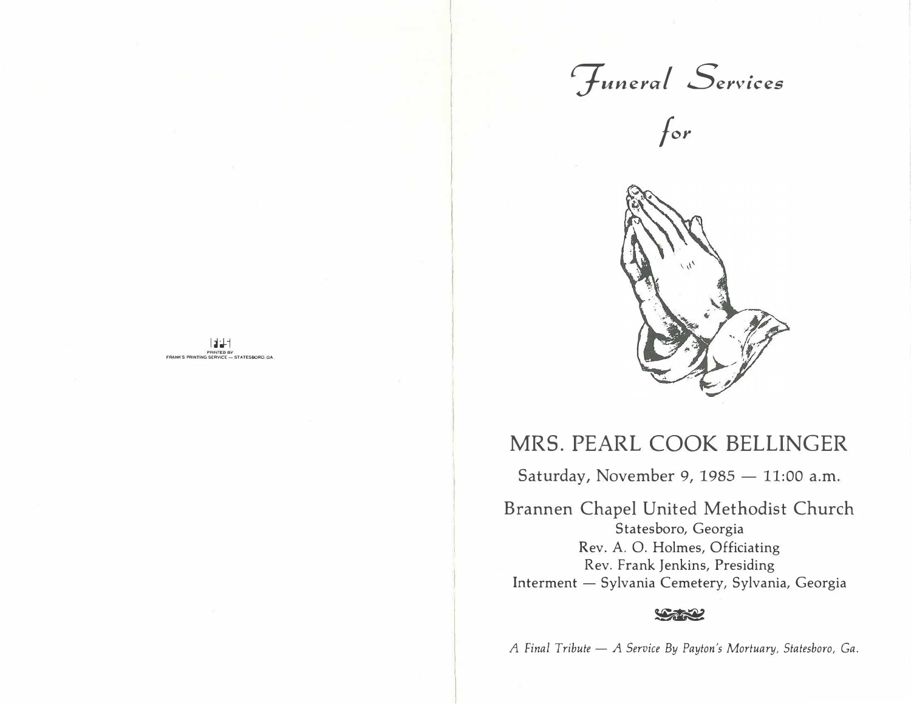$\mathcal{F}$ uneral Services





## MRS. PEARL COOK BELLINGER

I �J-1

**FRINTED BY<br>SERVICE -- STATESBORO. GA** 

Saturday, November 9, 1985 - 11:00 a.m.

Brannen Chapel United Methodist Church Statesboro, Georgia Rev. A. 0. Holmes, Officiating Rev. Frank Jenkins, Presiding Interment - Sylvania Cemetery, Sylvania, Georgia

### **LARAL**

*A Final Tribute* - *A Service By Payton's Mortuary, Statesboro, Ga.*